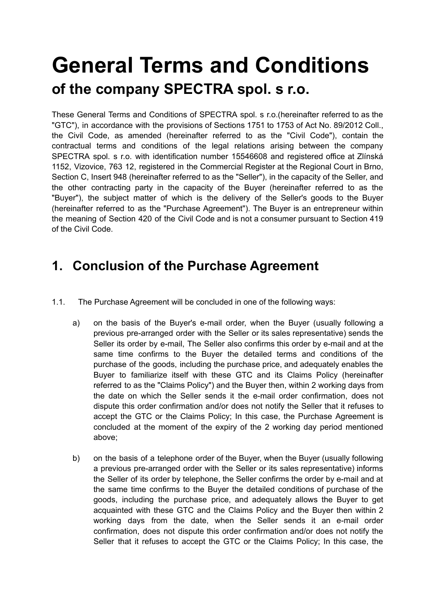# **General Terms and Conditions of the company SPECTRA spol. s r.o.**

These General Terms and Conditions of SPECTRA spol. s r.o.(hereinafter referred to as the "GTC"), in accordance with the provisions of Sections 1751 to 1753 of Act No. 89/2012 Coll., the Civil Code, as amended (hereinafter referred to as the "Civil Code"), contain the contractual terms and conditions of the legal relations arising between the company SPECTRA spol. s r.o. with identification number 15546608 and registered office at Zlínská 1152, Vizovice, 763 12, registered in the Commercial Register at the Regional Court in Brno, Section C, Insert 948 (hereinafter referred to as the "Seller"), in the capacity of the Seller, and the other contracting party in the capacity of the Buyer (hereinafter referred to as the "Buyer"), the subject matter of which is the delivery of the Seller's goods to the Buyer (hereinafter referred to as the "Purchase Agreement"). The Buyer is an entrepreneur within the meaning of Section 420 of the Civil Code and is not a consumer pursuant to Section 419 of the Civil Code.

## **1. Conclusion of the Purchase Agreement**

- 1.1. The Purchase Agreement will be concluded in one of the following ways:
	- a) on the basis of the Buyer's e-mail order, when the Buyer (usually following a previous pre-arranged order with the Seller or its sales representative) sends the Seller its order by e-mail, The Seller also confirms this order by e-mail and at the same time confirms to the Buyer the detailed terms and conditions of the purchase of the goods, including the purchase price, and adequately enables the Buyer to familiarize itself with these GTC and its Claims Policy (hereinafter referred to as the "Claims Policy") and the Buyer then, within 2 working days from the date on which the Seller sends it the e-mail order confirmation, does not dispute this order confirmation and/or does not notify the Seller that it refuses to accept the GTC or the Claims Policy; In this case, the Purchase Agreement is concluded at the moment of the expiry of the 2 working day period mentioned above;
	- b) on the basis of a telephone order of the Buyer, when the Buyer (usually following a previous pre-arranged order with the Seller or its sales representative) informs the Seller of its order by telephone, the Seller confirms the order by e-mail and at the same time confirms to the Buyer the detailed conditions of purchase of the goods, including the purchase price, and adequately allows the Buyer to get acquainted with these GTC and the Claims Policy and the Buyer then within 2 working days from the date, when the Seller sends it an e-mail order confirmation, does not dispute this order confirmation and/or does not notify the Seller that it refuses to accept the GTC or the Claims Policy; In this case, the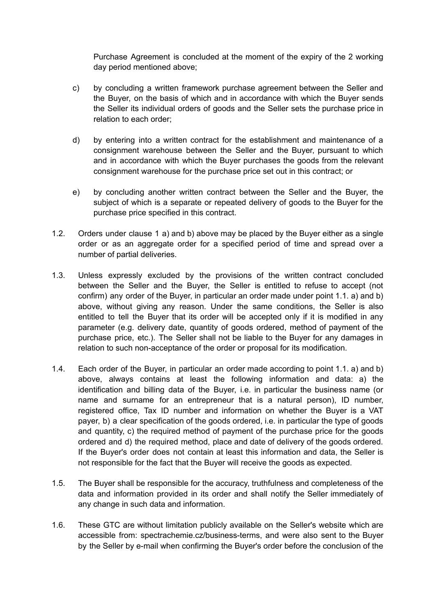Purchase Agreement is concluded at the moment of the expiry of the 2 working day period mentioned above;

- c) by concluding a written framework purchase agreement between the Seller and the Buyer, on the basis of which and in accordance with which the Buyer sends the Seller its individual orders of goods and the Seller sets the purchase price in relation to each order;
- d) by entering into a written contract for the establishment and maintenance of a consignment warehouse between the Seller and the Buyer, pursuant to which and in accordance with which the Buyer purchases the goods from the relevant consignment warehouse for the purchase price set out in this contract; or
- e) by concluding another written contract between the Seller and the Buyer, the subject of which is a separate or repeated delivery of goods to the Buyer for the purchase price specified in this contract.
- 1.2. Orders under clause 1 a) and b) above may be placed by the Buyer either as a single order or as an aggregate order for a specified period of time and spread over a number of partial deliveries.
- 1.3. Unless expressly excluded by the provisions of the written contract concluded between the Seller and the Buyer, the Seller is entitled to refuse to accept (not confirm) any order of the Buyer, in particular an order made under point 1.1. a) and b) above, without giving any reason. Under the same conditions, the Seller is also entitled to tell the Buyer that its order will be accepted only if it is modified in any parameter (e.g. delivery date, quantity of goods ordered, method of payment of the purchase price, etc.). The Seller shall not be liable to the Buyer for any damages in relation to such non-acceptance of the order or proposal for its modification.
- 1.4. Each order of the Buyer, in particular an order made according to point 1.1. a) and b) above, always contains at least the following information and data: a) the identification and billing data of the Buyer, i.e. in particular the business name (or name and surname for an entrepreneur that is a natural person), ID number, registered office, Tax ID number and information on whether the Buyer is a VAT payer, b) a clear specification of the goods ordered, i.e. in particular the type of goods and quantity, c) the required method of payment of the purchase price for the goods ordered and d) the required method, place and date of delivery of the goods ordered. If the Buyer's order does not contain at least this information and data, the Seller is not responsible for the fact that the Buyer will receive the goods as expected.
- 1.5. The Buyer shall be responsible for the accuracy, truthfulness and completeness of the data and information provided in its order and shall notify the Seller immediately of any change in such data and information.
- 1.6. These GTC are without limitation publicly available on the Seller's website which are accessible from: spectrachemie.cz/business-terms, and were also sent to the Buyer by the Seller by e-mail when confirming the Buyer's order before the conclusion of the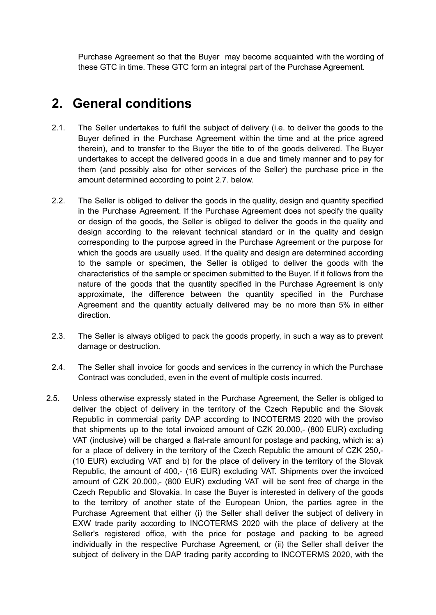Purchase Agreement so that the Buyer may become acquainted with the wording of these GTC in time. These GTC form an integral part of the Purchase Agreement.

## **2. General conditions**

- 2.1. The Seller undertakes to fulfil the subject of delivery (i.e. to deliver the goods to the Buyer defined in the Purchase Agreement within the time and at the price agreed therein), and to transfer to the Buyer the title to of the goods delivered. The Buyer undertakes to accept the delivered goods in a due and timely manner and to pay for them (and possibly also for other services of the Seller) the purchase price in the amount determined according to point 2.7. below.
- 2.2. The Seller is obliged to deliver the goods in the quality, design and quantity specified in the Purchase Agreement. If the Purchase Agreement does not specify the quality or design of the goods, the Seller is obliged to deliver the goods in the quality and design according to the relevant technical standard or in the quality and design corresponding to the purpose agreed in the Purchase Agreement or the purpose for which the goods are usually used. If the quality and design are determined according to the sample or specimen, the Seller is obliged to deliver the goods with the characteristics of the sample or specimen submitted to the Buyer. If it follows from the nature of the goods that the quantity specified in the Purchase Agreement is only approximate, the difference between the quantity specified in the Purchase Agreement and the quantity actually delivered may be no more than 5% in either direction.
- 2.3. The Seller is always obliged to pack the goods properly, in such a way as to prevent damage or destruction.
- 2.4. The Seller shall invoice for goods and services in the currency in which the Purchase Contract was concluded, even in the event of multiple costs incurred.
- 2.5. Unless otherwise expressly stated in the Purchase Agreement, the Seller is obliged to deliver the object of delivery in the territory of the Czech Republic and the Slovak Republic in commercial parity DAP according to INCOTERMS 2020 with the proviso that shipments up to the total invoiced amount of CZK 20.000,- (800 EUR) excluding VAT (inclusive) will be charged a flat-rate amount for postage and packing, which is: a) for a place of delivery in the territory of the Czech Republic the amount of CZK 250,- (10 EUR) excluding VAT and b) for the place of delivery in the territory of the Slovak Republic, the amount of 400,- (16 EUR) excluding VAT. Shipments over the invoiced amount of CZK 20.000,- (800 EUR) excluding VAT will be sent free of charge in the Czech Republic and Slovakia. In case the Buyer is interested in delivery of the goods to the territory of another state of the European Union, the parties agree in the Purchase Agreement that either (i) the Seller shall deliver the subject of delivery in EXW trade parity according to INCOTERMS 2020 with the place of delivery at the Seller's registered office, with the price for postage and packing to be agreed individually in the respective Purchase Agreement, or (ii) the Seller shall deliver the subject of delivery in the DAP trading parity according to INCOTERMS 2020, with the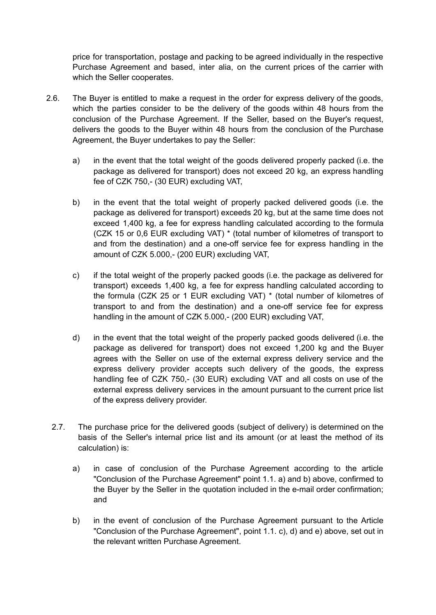price for transportation, postage and packing to be agreed individually in the respective Purchase Agreement and based, inter alia, on the current prices of the carrier with which the Seller cooperates.

- 2.6. The Buyer is entitled to make a request in the order for express delivery of the goods, which the parties consider to be the delivery of the goods within 48 hours from the conclusion of the Purchase Agreement. If the Seller, based on the Buyer's request, delivers the goods to the Buyer within 48 hours from the conclusion of the Purchase Agreement, the Buyer undertakes to pay the Seller:
	- a) in the event that the total weight of the goods delivered properly packed (i.e. the package as delivered for transport) does not exceed 20 kg, an express handling fee of CZK 750,- (30 EUR) excluding VAT,
	- b) in the event that the total weight of properly packed delivered goods (i.e. the package as delivered for transport) exceeds 20 kg, but at the same time does not exceed 1,400 kg, a fee for express handling calculated according to the formula (CZK 15 or 0,6 EUR excluding VAT) \* (total number of kilometres of transport to and from the destination) and a one-off service fee for express handling in the amount of CZK 5.000,- (200 EUR) excluding VAT,
	- c) if the total weight of the properly packed goods (i.e. the package as delivered for transport) exceeds 1,400 kg, a fee for express handling calculated according to the formula (CZK 25 or 1 EUR excluding VAT) \* (total number of kilometres of transport to and from the destination) and a one-off service fee for express handling in the amount of CZK 5.000,- (200 EUR) excluding VAT,
	- d) in the event that the total weight of the properly packed goods delivered (i.e. the package as delivered for transport) does not exceed 1,200 kg and the Buyer agrees with the Seller on use of the external express delivery service and the express delivery provider accepts such delivery of the goods, the express handling fee of CZK 750,- (30 EUR) excluding VAT and all costs on use of the external express delivery services in the amount pursuant to the current price list of the express delivery provider.
	- 2.7. The purchase price for the delivered goods (subject of delivery) is determined on the basis of the Seller's internal price list and its amount (or at least the method of its calculation) is:
		- a) in case of conclusion of the Purchase Agreement according to the article "Conclusion of the Purchase Agreement" point 1.1. a) and b) above, confirmed to the Buyer by the Seller in the quotation included in the e-mail order confirmation; and
		- b) in the event of conclusion of the Purchase Agreement pursuant to the Article "Conclusion of the Purchase Agreement", point 1.1. c), d) and e) above, set out in the relevant written Purchase Agreement.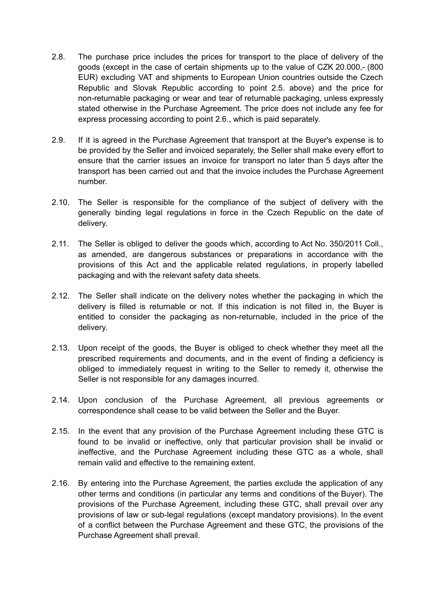- 2.8. The purchase price includes the prices for transport to the place of delivery of the goods (except in the case of certain shipments up to the value of CZK 20.000,- (800 EUR) excluding VAT and shipments to European Union countries outside the Czech Republic and Slovak Republic according to point 2.5. above) and the price for non-returnable packaging or wear and tear of returnable packaging, unless expressly stated otherwise in the Purchase Agreement. The price does not include any fee for express processing according to point 2.6., which is paid separately.
- 2.9. If it is agreed in the Purchase Agreement that transport at the Buyer's expense is to be provided by the Seller and invoiced separately, the Seller shall make every effort to ensure that the carrier issues an invoice for transport no later than 5 days after the transport has been carried out and that the invoice includes the Purchase Agreement number.
- 2.10. The Seller is responsible for the compliance of the subject of delivery with the generally binding legal regulations in force in the Czech Republic on the date of delivery.
- 2.11. The Seller is obliged to deliver the goods which, according to Act No. 350/2011 Coll., as amended, are dangerous substances or preparations in accordance with the provisions of this Act and the applicable related regulations, in properly labelled packaging and with the relevant safety data sheets.
- 2.12. The Seller shall indicate on the delivery notes whether the packaging in which the delivery is filled is returnable or not. If this indication is not filled in, the Buyer is entitled to consider the packaging as non-returnable, included in the price of the delivery.
- 2.13. Upon receipt of the goods, the Buyer is obliged to check whether they meet all the prescribed requirements and documents, and in the event of finding a deficiency is obliged to immediately request in writing to the Seller to remedy it, otherwise the Seller is not responsible for any damages incurred.
- 2.14. Upon conclusion of the Purchase Agreement, all previous agreements or correspondence shall cease to be valid between the Seller and the Buyer.
- 2.15. In the event that any provision of the Purchase Agreement including these GTC is found to be invalid or ineffective, only that particular provision shall be invalid or ineffective, and the Purchase Agreement including these GTC as a whole, shall remain valid and effective to the remaining extent.
- 2.16. By entering into the Purchase Agreement, the parties exclude the application of any other terms and conditions (in particular any terms and conditions of the Buyer). The provisions of the Purchase Agreement, including these GTC, shall prevail over any provisions of law or sub-legal regulations (except mandatory provisions). In the event of a conflict between the Purchase Agreement and these GTC, the provisions of the Purchase Agreement shall prevail.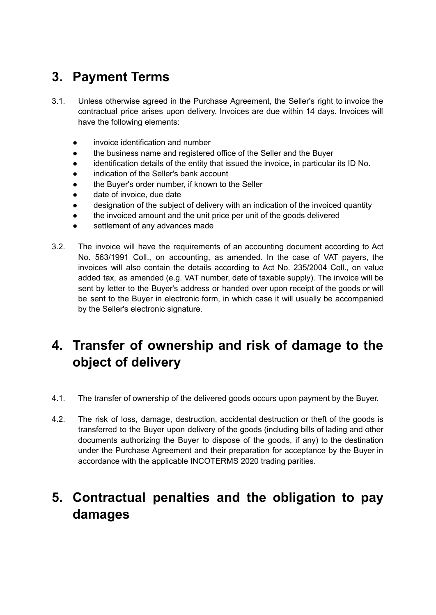## **3. Payment Terms**

- 3.1. Unless otherwise agreed in the Purchase Agreement, the Seller's right to invoice the contractual price arises upon delivery. Invoices are due within 14 days. Invoices will have the following elements:
	- invoice identification and number
	- the business name and registered office of the Seller and the Buyer
	- identification details of the entity that issued the invoice, in particular its ID No.
	- indication of the Seller's bank account
	- the Buyer's order number, if known to the Seller
	- date of invoice, due date
	- designation of the subject of delivery with an indication of the invoiced quantity
	- the invoiced amount and the unit price per unit of the goods delivered
	- settlement of any advances made
- 3.2. The invoice will have the requirements of an accounting document according to Act No. 563/1991 Coll., on accounting, as amended. In the case of VAT payers, the invoices will also contain the details according to Act No. 235/2004 Coll., on value added tax, as amended (e.g. VAT number, date of taxable supply). The invoice will be sent by letter to the Buyer's address or handed over upon receipt of the goods or will be sent to the Buyer in electronic form, in which case it will usually be accompanied by the Seller's electronic signature.

## **4. Transfer of ownership and risk of damage to the object of delivery**

- 4.1. The transfer of ownership of the delivered goods occurs upon payment by the Buyer.
- 4.2. The risk of loss, damage, destruction, accidental destruction or theft of the goods is transferred to the Buyer upon delivery of the goods (including bills of lading and other documents authorizing the Buyer to dispose of the goods, if any) to the destination under the Purchase Agreement and their preparation for acceptance by the Buyer in accordance with the applicable INCOTERMS 2020 trading parities.

## **5. Contractual penalties and the obligation to pay damages**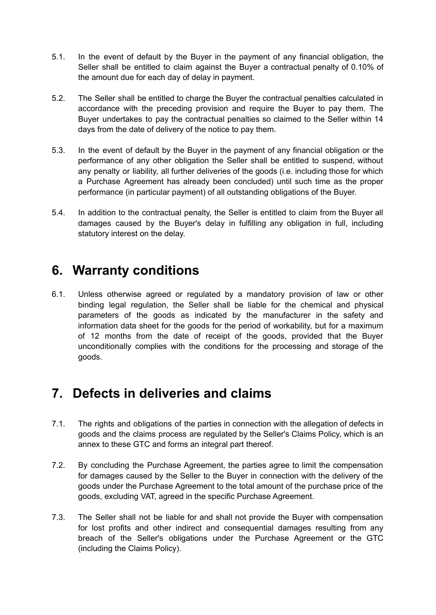- 5.1. In the event of default by the Buyer in the payment of any financial obligation, the Seller shall be entitled to claim against the Buyer a contractual penalty of 0.10% of the amount due for each day of delay in payment.
- 5.2. The Seller shall be entitled to charge the Buyer the contractual penalties calculated in accordance with the preceding provision and require the Buyer to pay them. The Buyer undertakes to pay the contractual penalties so claimed to the Seller within 14 days from the date of delivery of the notice to pay them.
- 5.3. In the event of default by the Buyer in the payment of any financial obligation or the performance of any other obligation the Seller shall be entitled to suspend, without any penalty or liability, all further deliveries of the goods (i.e. including those for which a Purchase Agreement has already been concluded) until such time as the proper performance (in particular payment) of all outstanding obligations of the Buyer.
- 5.4. In addition to the contractual penalty, the Seller is entitled to claim from the Buyer all damages caused by the Buyer's delay in fulfilling any obligation in full, including statutory interest on the delay.

### **6. Warranty conditions**

6.1. Unless otherwise agreed or regulated by a mandatory provision of law or other binding legal regulation, the Seller shall be liable for the chemical and physical parameters of the goods as indicated by the manufacturer in the safety and information data sheet for the goods for the period of workability, but for a maximum of 12 months from the date of receipt of the goods, provided that the Buyer unconditionally complies with the conditions for the processing and storage of the goods.

## **7. Defects in deliveries and claims**

- 7.1. The rights and obligations of the parties in connection with the allegation of defects in goods and the claims process are regulated by the Seller's Claims Policy, which is an annex to these GTC and forms an integral part thereof.
- 7.2. By concluding the Purchase Agreement, the parties agree to limit the compensation for damages caused by the Seller to the Buyer in connection with the delivery of the goods under the Purchase Agreement to the total amount of the purchase price of the goods, excluding VAT, agreed in the specific Purchase Agreement.
- 7.3. The Seller shall not be liable for and shall not provide the Buyer with compensation for lost profits and other indirect and consequential damages resulting from any breach of the Seller's obligations under the Purchase Agreement or the GTC (including the Claims Policy).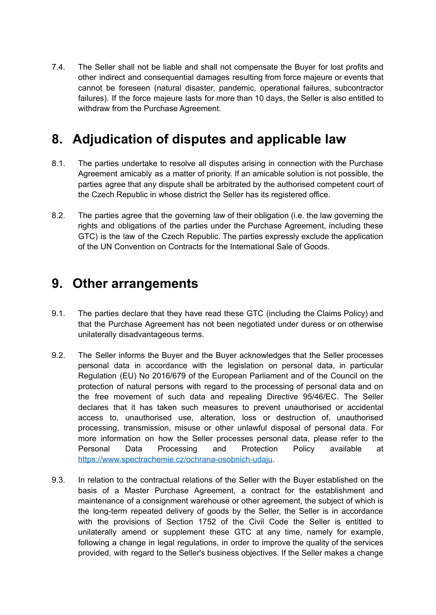7.4. The Seller shall not be liable and shall not compensate the Buyer for lost profits and other indirect and consequential damages resulting from force majeure or events that cannot be foreseen (natural disaster, pandemic, operational failures, subcontractor failures). If the force majeure lasts for more than 10 days, the Seller is also entitled to withdraw from the Purchase Agreement.

## **8. Adjudication of disputes and applicable law**

- 8.1. The parties undertake to resolve all disputes arising in connection with the Purchase Agreement amicably as a matter of priority. If an amicable solution is not possible, the parties agree that any dispute shall be arbitrated by the authorised competent court of the Czech Republic in whose district the Seller has its registered office.
- 8.2. The parties agree that the governing law of their obligation (i.e. the law governing the rights and obligations of the parties under the Purchase Agreement, including these GTC) is the law of the Czech Republic. The parties expressly exclude the application of the UN Convention on Contracts for the International Sale of Goods.

#### **9. Other arrangements**

- 9.1. The parties declare that they have read these GTC (including the Claims Policy) and that the Purchase Agreement has not been negotiated under duress or on otherwise unilaterally disadvantageous terms.
- 9.2. The Seller informs the Buyer and the Buyer acknowledges that the Seller processes personal data in accordance with the legislation on personal data, in particular Regulation (EU) No 2016/679 of the European Parliament and of the Council on the protection of natural persons with regard to the processing of personal data and on the free movement of such data and repealing Directive 95/46/EC. The Seller declares that it has taken such measures to prevent unauthorised or accidental access to, unauthorised use, alteration, loss or destruction of, unauthorised processing, transmission, misuse or other unlawful disposal of personal data. For more information on how the Seller processes personal data, please refer to the Personal Data Processing and Protection Policy available at [https://www.spectrachemie.cz/ochrana-osobnich-udaju.](https://www.spectrachemie.cz/ochrana-osobnich-udaju)
- 9.3. In relation to the contractual relations of the Seller with the Buyer established on the basis of a Master Purchase Agreement, a contract for the establishment and maintenance of a consignment warehouse or other agreement, the subject of which is the long-term repeated delivery of goods by the Seller, the Seller is in accordance with the provisions of Section 1752 of the Civil Code the Seller is entitled to unilaterally amend or supplement these GTC at any time, namely for example, following a change in legal regulations, in order to improve the quality of the services provided, with regard to the Seller's business objectives. If the Seller makes a change